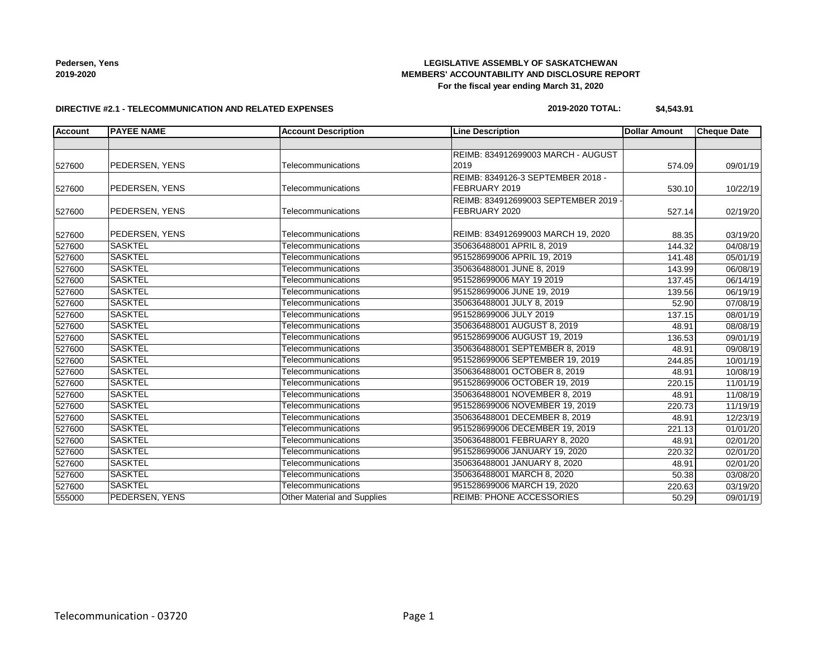## **LEGISLATIVE ASSEMBLY OF SASKATCHEWAN MEMBERS' ACCOUNTABILITY AND DISCLOSURE REPORT For the fiscal year ending March 31, 2020**

### **DIRECTIVE #2.1 - TELECOMMUNICATION AND RELATED EXPENSES**

## **2019-2020 TOTAL: \$4,543.91**

| <b>Account</b> | <b>PAYEE NAME</b> | <b>Account Description</b>  | <b>Line Description</b>                   | <b>Dollar Amount</b> | <b>Cheque Date</b> |
|----------------|-------------------|-----------------------------|-------------------------------------------|----------------------|--------------------|
|                |                   |                             |                                           |                      |                    |
|                |                   |                             | <b>REIMB: 834912699003 MARCH - AUGUST</b> |                      |                    |
| 527600         | PEDERSEN, YENS    | Telecommunications          | 2019                                      | 574.09               | 09/01/19           |
|                |                   |                             | REIMB: 8349126-3 SEPTEMBER 2018 -         |                      |                    |
| 527600         | PEDERSEN, YENS    | Telecommunications          | FEBRUARY 2019                             | 530.10               | 10/22/19           |
|                |                   |                             | REIMB: 834912699003 SEPTEMBER 2019 -      |                      |                    |
| 527600         | PEDERSEN, YENS    | Telecommunications          | FEBRUARY 2020                             | 527.14               | 02/19/20           |
| 527600         | PEDERSEN, YENS    | Telecommunications          | REIMB: 834912699003 MARCH 19, 2020        | 88.35                | 03/19/20           |
| 527600         | <b>SASKTEL</b>    | Telecommunications          | 350636488001 APRIL 8, 2019                | 144.32               | 04/08/19           |
| 527600         | <b>SASKTEL</b>    | Telecommunications          | 951528699006 APRIL 19, 2019               | 141.48               | 05/01/19           |
| 527600         | <b>SASKTEL</b>    | Telecommunications          | 350636488001 JUNE 8, 2019                 | 143.99               | 06/08/19           |
| 527600         | <b>SASKTEL</b>    | Telecommunications          | 951528699006 MAY 19 2019                  | 137.45               | 06/14/19           |
| 527600         | <b>SASKTEL</b>    | Telecommunications          | 951528699006 JUNE 19, 2019                | 139.56               | 06/19/19           |
| 527600         | <b>SASKTEL</b>    | Telecommunications          | 350636488001 JULY 8, 2019                 | 52.90                | 07/08/19           |
| 527600         | <b>SASKTEL</b>    | Telecommunications          | 951528699006 JULY 2019                    | 137.15               | 08/01/19           |
| 527600         | <b>SASKTEL</b>    | Telecommunications          | 350636488001 AUGUST 8, 2019               | 48.91                | 08/08/19           |
| 527600         | <b>SASKTEL</b>    | Telecommunications          | 951528699006 AUGUST 19, 2019              | 136.53               | 09/01/19           |
| 527600         | <b>SASKTEL</b>    | Telecommunications          | 350636488001 SEPTEMBER 8, 2019            | 48.91                | 09/08/19           |
| 527600         | <b>SASKTEL</b>    | Telecommunications          | 951528699006 SEPTEMBER 19, 2019           | 244.85               | 10/01/19           |
| 527600         | <b>SASKTEL</b>    | Telecommunications          | 350636488001 OCTOBER 8, 2019              | 48.91                | 10/08/19           |
| 527600         | <b>SASKTEL</b>    | Telecommunications          | 951528699006 OCTOBER 19, 2019             | 220.15               | 11/01/19           |
| 527600         | <b>SASKTEL</b>    | Telecommunications          | 350636488001 NOVEMBER 8, 2019             | 48.91                | 11/08/19           |
| 527600         | <b>SASKTEL</b>    | Telecommunications          | 951528699006 NOVEMBER 19, 2019            | 220.73               | 11/19/19           |
| 527600         | <b>SASKTEL</b>    | Telecommunications          | 350636488001 DECEMBER 8, 2019             | 48.91                | 12/23/19           |
| 527600         | <b>SASKTEL</b>    | Telecommunications          | 951528699006 DECEMBER 19, 2019            | 221.13               | 01/01/20           |
| 527600         | <b>SASKTEL</b>    | Telecommunications          | 350636488001 FEBRUARY 8, 2020             | 48.91                | 02/01/20           |
| 527600         | <b>SASKTEL</b>    | Telecommunications          | 951528699006 JANUARY 19, 2020             | 220.32               | 02/01/20           |
| 527600         | <b>SASKTEL</b>    | Telecommunications          | 350636488001 JANUARY 8, 2020              | 48.91                | 02/01/20           |
| 527600         | <b>SASKTEL</b>    | Telecommunications          | 350636488001 MARCH 8, 2020                | 50.38                | 03/08/20           |
| 527600         | <b>SASKTEL</b>    | Telecommunications          | 951528699006 MARCH 19, 2020               | 220.63               | 03/19/20           |
| 555000         | PEDERSEN, YENS    | Other Material and Supplies | <b>REIMB: PHONE ACCESSORIES</b>           | 50.29                | 09/01/19           |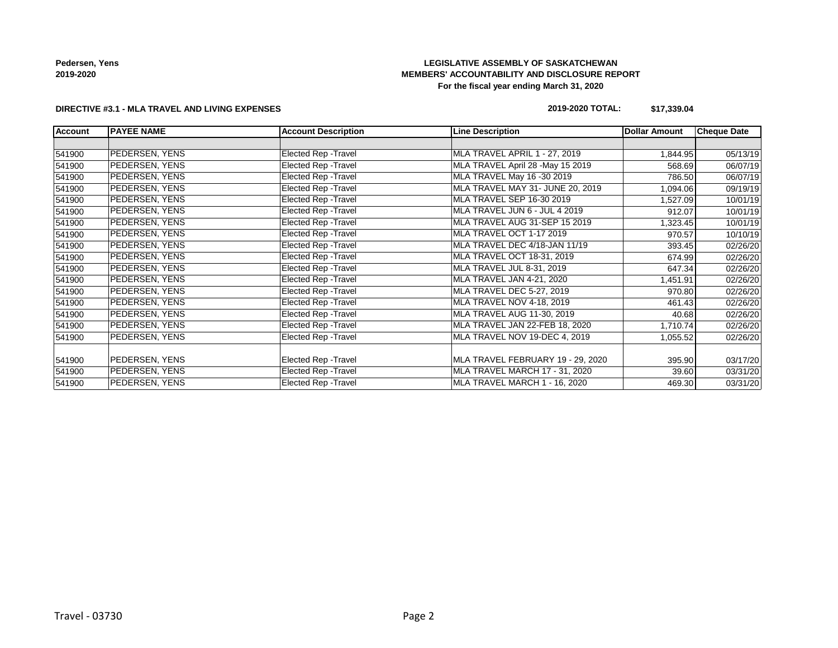# **LEGISLATIVE ASSEMBLY OF SASKATCHEWAN MEMBERS' ACCOUNTABILITY AND DISCLOSURE REPORT For the fiscal year ending March 31, 2020**

### **DIRECTIVE #3.1 - MLA TRAVEL AND LIVING EXPENSES**

## **2019-2020 TOTAL: \$17,339.04**

| <b>Account</b> | <b>IPAYEE NAME</b>    | <b>Account Description</b>  | <b>Line Description</b>           | <b>Dollar Amount</b> | <b>Cheque Date</b> |
|----------------|-----------------------|-----------------------------|-----------------------------------|----------------------|--------------------|
|                |                       |                             |                                   |                      |                    |
| 541900         | PEDERSEN, YENS        | Elected Rep - Travel        | MLA TRAVEL APRIL 1 - 27, 2019     | 1,844.95             | 05/13/19           |
| 541900         | PEDERSEN, YENS        | <b>Elected Rep - Travel</b> | MLA TRAVEL April 28 -May 15 2019  | 568.69               | 06/07/19           |
| 541900         | PEDERSEN, YENS        | <b>Elected Rep - Travel</b> | MLA TRAVEL May 16 -30 2019        | 786.50               | 06/07/19           |
| 541900         | PEDERSEN, YENS        | Elected Rep - Travel        | MLA TRAVEL MAY 31- JUNE 20, 2019  | 1,094.06             | 09/19/19           |
| 541900         | PEDERSEN, YENS        | Elected Rep - Travel        | MLA TRAVEL SEP 16-30 2019         | 1,527.09             | 10/01/19           |
| 541900         | <b>PEDERSEN, YENS</b> | Elected Rep - Travel        | MLA TRAVEL JUN 6 - JUL 4 2019     | 912.07               | 10/01/19           |
| 541900         | PEDERSEN, YENS        | Elected Rep - Travel        | MLA TRAVEL AUG 31-SEP 15 2019     | 1,323.45             | 10/01/19           |
| 541900         | PEDERSEN, YENS        | Elected Rep - Travel        | MLA TRAVEL OCT 1-17 2019          | 970.57               | 10/10/19           |
| 541900         | PEDERSEN, YENS        | Elected Rep - Travel        | MLA TRAVEL DEC 4/18-JAN 11/19     | 393.45               | 02/26/20           |
| 541900         | <b>PEDERSEN, YENS</b> | <b>Elected Rep - Travel</b> | MLA TRAVEL OCT 18-31, 2019        | 674.99               | 02/26/20           |
| 541900         | PEDERSEN, YENS        | Elected Rep - Travel        | MLA TRAVEL JUL 8-31, 2019         | 647.34               | 02/26/20           |
| 541900         | PEDERSEN, YENS        | Elected Rep - Travel        | MLA TRAVEL JAN 4-21, 2020         | 1,451.91             | 02/26/20           |
| 541900         | PEDERSEN, YENS        | Elected Rep - Travel        | MLA TRAVEL DEC 5-27, 2019         | 970.80               | 02/26/20           |
| 541900         | PEDERSEN, YENS        | Elected Rep - Travel        | <b>MLA TRAVEL NOV 4-18, 2019</b>  | 461.43               | 02/26/20           |
| 541900         | PEDERSEN, YENS        | Elected Rep - Travel        | MLA TRAVEL AUG 11-30, 2019        | 40.68                | 02/26/20           |
| 541900         | PEDERSEN, YENS        | Elected Rep - Travel        | MLA TRAVEL JAN 22-FEB 18, 2020    | 1,710.74             | 02/26/20           |
| 541900         | PEDERSEN, YENS        | Elected Rep - Travel        | MLA TRAVEL NOV 19-DEC 4, 2019     | 1,055.52             | 02/26/20           |
|                |                       |                             |                                   |                      |                    |
| 541900         | PEDERSEN, YENS        | <b>Elected Rep - Travel</b> | MLA TRAVEL FEBRUARY 19 - 29, 2020 | 395.90               | 03/17/20           |
| 541900         | PEDERSEN, YENS        | Elected Rep - Travel        | MLA TRAVEL MARCH 17 - 31, 2020    | 39.60                | 03/31/20           |
| 541900         | PEDERSEN, YENS        | Elected Rep - Travel        | MLA TRAVEL MARCH 1 - 16, 2020     | 469.30               | 03/31/20           |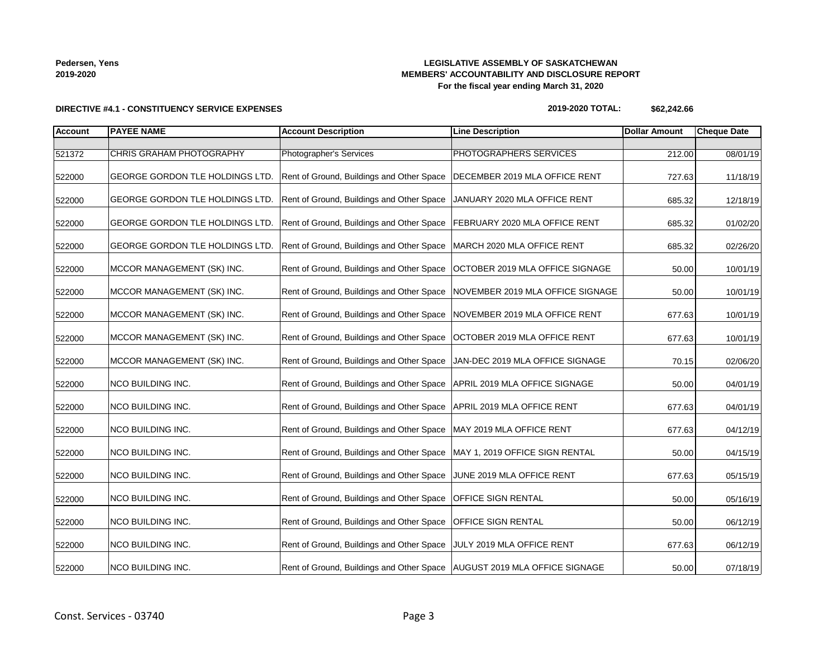## **LEGISLATIVE ASSEMBLY OF SASKATCHEWAN MEMBERS' ACCOUNTABILITY AND DISCLOSURE REPORT For the fiscal year ending March 31, 2020**

## **DIRECTIVE #4.1 - CONSTITUENCY SERVICE EXPENSES**

### **2019-2020 TOTAL: \$62,242.66**

| <b>Account</b> | <b>PAYEE NAME</b>               | <b>Account Description</b>                                                 | <b>Line Description</b>          | <b>Dollar Amount</b> | <b>Cheque Date</b> |
|----------------|---------------------------------|----------------------------------------------------------------------------|----------------------------------|----------------------|--------------------|
|                |                                 |                                                                            |                                  |                      |                    |
| 521372         | CHRIS GRAHAM PHOTOGRAPHY        | Photographer's Services                                                    | PHOTOGRAPHERS SERVICES           | 212.00               | 08/01/19           |
| 522000         | GEORGE GORDON TLE HOLDINGS LTD. | Rent of Ground, Buildings and Other Space                                  | DECEMBER 2019 MLA OFFICE RENT    | 727.63               | 11/18/19           |
| 522000         | GEORGE GORDON TLE HOLDINGS LTD. | Rent of Ground, Buildings and Other Space                                  | JANUARY 2020 MLA OFFICE RENT     | 685.32               | 12/18/19           |
| 522000         | GEORGE GORDON TLE HOLDINGS LTD. | Rent of Ground, Buildings and Other Space                                  | FEBRUARY 2020 MLA OFFICE RENT    | 685.32               | 01/02/20           |
| 522000         | GEORGE GORDON TLE HOLDINGS LTD. | Rent of Ground, Buildings and Other Space                                  | MARCH 2020 MLA OFFICE RENT       | 685.32               | 02/26/20           |
| 522000         | MCCOR MANAGEMENT (SK) INC.      | Rent of Ground, Buildings and Other Space                                  | OCTOBER 2019 MLA OFFICE SIGNAGE  | 50.00                | 10/01/19           |
| 522000         | MCCOR MANAGEMENT (SK) INC.      | Rent of Ground, Buildings and Other Space                                  | NOVEMBER 2019 MLA OFFICE SIGNAGE | 50.00                | 10/01/19           |
| 522000         | MCCOR MANAGEMENT (SK) INC.      | Rent of Ground, Buildings and Other Space                                  | NOVEMBER 2019 MLA OFFICE RENT    | 677.63               | 10/01/19           |
| 522000         | MCCOR MANAGEMENT (SK) INC.      | Rent of Ground, Buildings and Other Space                                  | OCTOBER 2019 MLA OFFICE RENT     | 677.63               | 10/01/19           |
| 522000         | MCCOR MANAGEMENT (SK) INC.      | Rent of Ground, Buildings and Other Space                                  | JAN-DEC 2019 MLA OFFICE SIGNAGE  | 70.15                | 02/06/20           |
| 522000         | NCO BUILDING INC.               | Rent of Ground, Buildings and Other Space                                  | APRIL 2019 MLA OFFICE SIGNAGE    | 50.00                | 04/01/19           |
| 522000         | <b>NCO BUILDING INC.</b>        | Rent of Ground, Buildings and Other Space                                  | APRIL 2019 MLA OFFICE RENT       | 677.63               | 04/01/19           |
| 522000         | NCO BUILDING INC.               | Rent of Ground, Buildings and Other Space                                  | MAY 2019 MLA OFFICE RENT         | 677.63               | 04/12/19           |
| 522000         | NCO BUILDING INC.               | Rent of Ground, Buildings and Other Space                                  | MAY 1, 2019 OFFICE SIGN RENTAL   | 50.00                | 04/15/19           |
| 522000         | NCO BUILDING INC.               | Rent of Ground, Buildings and Other Space                                  | JUNE 2019 MLA OFFICE RENT        | 677.63               | 05/15/19           |
| 522000         | NCO BUILDING INC.               | Rent of Ground, Buildings and Other Space                                  | OFFICE SIGN RENTAL               | 50.00                | 05/16/19           |
| 522000         | NCO BUILDING INC.               | Rent of Ground, Buildings and Other Space                                  | OFFICE SIGN RENTAL               | 50.00                | 06/12/19           |
| 522000         | NCO BUILDING INC.               | Rent of Ground, Buildings and Other Space                                  | JULY 2019 MLA OFFICE RENT        | 677.63               | 06/12/19           |
| 522000         | NCO BUILDING INC.               | Rent of Ground, Buildings and Other Space   AUGUST 2019 MLA OFFICE SIGNAGE |                                  | 50.00                | 07/18/19           |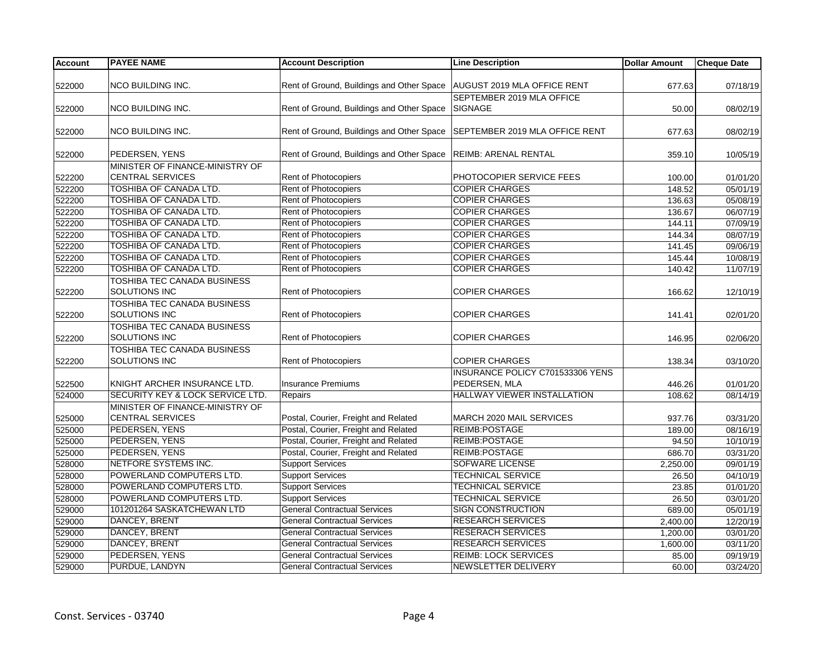| <b>Account</b> | <b>PAYEE NAME</b>                           | <b>Account Description</b>                                       | <b>Line Description</b>                 | <b>Dollar Amount</b> | <b>Cheque Date</b> |
|----------------|---------------------------------------------|------------------------------------------------------------------|-----------------------------------------|----------------------|--------------------|
|                |                                             |                                                                  |                                         |                      |                    |
| 522000         | <b>NCO BUILDING INC.</b>                    | Rent of Ground, Buildings and Other Space                        | <b>AUGUST 2019 MLA OFFICE RENT</b>      | 677.63               | 07/18/19           |
|                |                                             |                                                                  | SEPTEMBER 2019 MLA OFFICE               |                      |                    |
| 522000         | <b>NCO BUILDING INC.</b>                    | Rent of Ground, Buildings and Other Space                        | <b>SIGNAGE</b>                          | 50.00                | 08/02/19           |
|                |                                             |                                                                  |                                         |                      |                    |
| 522000         | NCO BUILDING INC.                           | Rent of Ground, Buildings and Other Space                        | SEPTEMBER 2019 MLA OFFICE RENT          | 677.63               | 08/02/19           |
|                |                                             |                                                                  |                                         |                      |                    |
| 522000         | PEDERSEN, YENS                              | Rent of Ground, Buildings and Other Space   REIMB: ARENAL RENTAL |                                         | 359.10               | 10/05/19           |
|                | MINISTER OF FINANCE-MINISTRY OF             |                                                                  |                                         |                      |                    |
| 522200         | <b>CENTRAL SERVICES</b>                     | <b>Rent of Photocopiers</b>                                      | PHOTOCOPIER SERVICE FEES                | 100.00               | 01/01/20           |
| 522200         | TOSHIBA OF CANADA LTD.                      | Rent of Photocopiers                                             | <b>COPIER CHARGES</b>                   | 148.52               | 05/01/19           |
| 522200         | <b>TOSHIBA OF CANADA LTD.</b>               | Rent of Photocopiers                                             | <b>COPIER CHARGES</b>                   | 136.63               | 05/08/19           |
| 522200         | <b>TOSHIBA OF CANADA LTD.</b>               | Rent of Photocopiers                                             | <b>COPIER CHARGES</b>                   | 136.67               | 06/07/19           |
| 522200         | TOSHIBA OF CANADA LTD.                      | Rent of Photocopiers                                             | <b>COPIER CHARGES</b>                   | 144.11               | 07/09/19           |
| 522200         | TOSHIBA OF CANADA LTD.                      | Rent of Photocopiers                                             | <b>COPIER CHARGES</b>                   | 144.34               | 08/07/19           |
| 522200         | <b>TOSHIBA OF CANADA LTD.</b>               | Rent of Photocopiers                                             | <b>COPIER CHARGES</b>                   | 141.45               | 09/06/19           |
| 522200         | <b>TOSHIBA OF CANADA LTD.</b>               | Rent of Photocopiers                                             | <b>COPIER CHARGES</b>                   | 145.44               | 10/08/19           |
| 522200         | TOSHIBA OF CANADA LTD.                      | Rent of Photocopiers                                             | <b>COPIER CHARGES</b>                   | 140.42               | 11/07/19           |
|                | TOSHIBA TEC CANADA BUSINESS                 |                                                                  |                                         |                      |                    |
| 522200         | SOLUTIONS INC                               | Rent of Photocopiers                                             | <b>COPIER CHARGES</b>                   | 166.62               | 12/10/19           |
|                | TOSHIBA TEC CANADA BUSINESS                 |                                                                  |                                         |                      |                    |
| 522200         | <b>SOLUTIONS INC</b>                        | <b>Rent of Photocopiers</b>                                      | <b>COPIER CHARGES</b>                   | 141.41               | 02/01/20           |
|                | TOSHIBA TEC CANADA BUSINESS                 |                                                                  |                                         |                      |                    |
| 522200         | <b>SOLUTIONS INC</b>                        | <b>Rent of Photocopiers</b>                                      | <b>COPIER CHARGES</b>                   | 146.95               | 02/06/20           |
|                | TOSHIBA TEC CANADA BUSINESS                 |                                                                  |                                         |                      |                    |
| 522200         | SOLUTIONS INC                               | Rent of Photocopiers                                             | <b>COPIER CHARGES</b>                   | 138.34               | 03/10/20           |
|                |                                             |                                                                  | <b>INSURANCE POLICY C701533306 YENS</b> |                      |                    |
| 522500         | KNIGHT ARCHER INSURANCE LTD.                | <b>Insurance Premiums</b>                                        | PEDERSEN, MLA                           | 446.26               | 01/01/20           |
| 524000         | <b>SECURITY KEY &amp; LOCK SERVICE LTD.</b> | Repairs                                                          | <b>HALLWAY VIEWER INSTALLATION</b>      |                      | 08/14/19           |
|                | MINISTER OF FINANCE-MINISTRY OF             |                                                                  |                                         | 108.62               |                    |
|                |                                             |                                                                  |                                         |                      |                    |
| 525000         | <b>CENTRAL SERVICES</b>                     | Postal, Courier, Freight and Related                             | MARCH 2020 MAIL SERVICES                | 937.76               | 03/31/20           |
| 525000         | PEDERSEN, YENS                              | Postal, Courier, Freight and Related                             | <b>REIMB:POSTAGE</b>                    | 189.00               | 08/16/19           |
| 525000         | PEDERSEN, YENS                              | Postal, Courier, Freight and Related                             | REIMB:POSTAGE                           | 94.50                | 10/10/19           |
| 525000         | PEDERSEN, YENS                              | Postal, Courier, Freight and Related                             | REIMB:POSTAGE                           | 686.70               | 03/31/20           |
| 528000         | NETFORE SYSTEMS INC.                        | <b>Support Services</b>                                          | <b>SOFWARE LICENSE</b>                  | 2,250.00             | 09/01/19           |
| 528000         | POWERLAND COMPUTERS LTD.                    | <b>Support Services</b>                                          | <b>TECHNICAL SERVICE</b>                | 26.50                | 04/10/19           |
| 528000         | POWERLAND COMPUTERS LTD.                    | <b>Support Services</b>                                          | <b>TECHNICAL SERVICE</b>                | 23.85                | 01/01/20           |
| 528000         | POWERLAND COMPUTERS LTD.                    | <b>Support Services</b>                                          | <b>TECHNICAL SERVICE</b>                | 26.50                | 03/01/20           |
| 529000         | 101201264 SASKATCHEWAN LTD                  | <b>General Contractual Services</b>                              | <b>SIGN CONSTRUCTION</b>                | 689.00               | 05/01/19           |
| 529000         | DANCEY, BRENT                               | <b>General Contractual Services</b>                              | <b>RESEARCH SERVICES</b>                | 2,400.00             | 12/20/19           |
| 529000         | DANCEY, BRENT                               | <b>General Contractual Services</b>                              | <b>RESERACH SERVICES</b>                | 1,200.00             | 03/01/20           |
| 529000         | <b>DANCEY, BRENT</b>                        | <b>General Contractual Services</b>                              | <b>RESEARCH SERVICES</b>                | 1,600.00             | 03/11/20           |
| 529000         | PEDERSEN, YENS                              | <b>General Contractual Services</b>                              | <b>REIMB: LOCK SERVICES</b>             | 85.00                | 09/19/19           |
| 529000         | PURDUE, LANDYN                              | <b>General Contractual Services</b>                              | NEWSLETTER DELIVERY                     | 60.00                | 03/24/20           |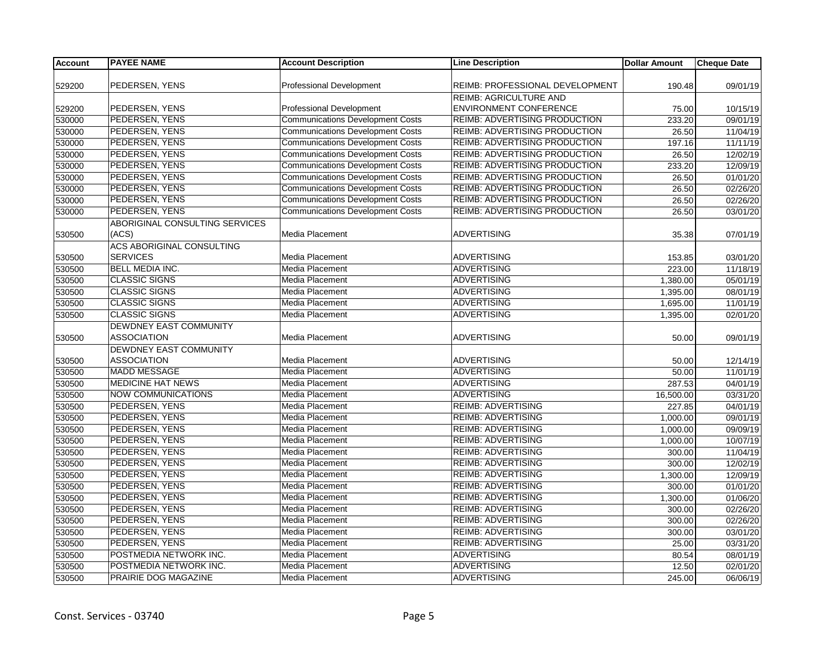| <b>Account</b> | <b>PAYEE NAME</b>              | <b>Account Description</b>              | <b>Line Description</b>              | <b>Dollar Amount</b> | <b>Cheque Date</b> |
|----------------|--------------------------------|-----------------------------------------|--------------------------------------|----------------------|--------------------|
|                |                                |                                         |                                      |                      |                    |
| 529200         | PEDERSEN, YENS                 | <b>Professional Development</b>         | REIMB: PROFESSIONAL DEVELOPMENT      | 190.48               | 09/01/19           |
|                |                                |                                         | <b>REIMB: AGRICULTURE AND</b>        |                      |                    |
| 529200         | PEDERSEN, YENS                 | <b>Professional Development</b>         | <b>ENVIRONMENT CONFERENCE</b>        | 75.00                | 10/15/19           |
| 530000         | PEDERSEN, YENS                 | <b>Communications Development Costs</b> | <b>REIMB: ADVERTISING PRODUCTION</b> | 233.20               | 09/01/19           |
| 530000         | PEDERSEN, YENS                 | <b>Communications Development Costs</b> | <b>REIMB: ADVERTISING PRODUCTION</b> | 26.50                | 11/04/19           |
| 530000         | PEDERSEN, YENS                 | <b>Communications Development Costs</b> | REIMB: ADVERTISING PRODUCTION        | 197.16               | 11/11/19           |
| 530000         | PEDERSEN, YENS                 | <b>Communications Development Costs</b> | <b>REIMB: ADVERTISING PRODUCTION</b> | 26.50                | 12/02/19           |
| 530000         | PEDERSEN, YENS                 | <b>Communications Development Costs</b> | <b>REIMB: ADVERTISING PRODUCTION</b> | 233.20               | 12/09/19           |
| 530000         | PEDERSEN, YENS                 | <b>Communications Development Costs</b> | <b>REIMB: ADVERTISING PRODUCTION</b> | 26.50                | 01/01/20           |
| 530000         | PEDERSEN, YENS                 | <b>Communications Development Costs</b> | <b>REIMB: ADVERTISING PRODUCTION</b> | 26.50                | 02/26/20           |
| 530000         | PEDERSEN, YENS                 | <b>Communications Development Costs</b> | <b>REIMB: ADVERTISING PRODUCTION</b> | 26.50                | 02/26/20           |
| 530000         | PEDERSEN, YENS                 | <b>Communications Development Costs</b> | REIMB: ADVERTISING PRODUCTION        | 26.50                | 03/01/20           |
|                | ABORIGINAL CONSULTING SERVICES |                                         |                                      |                      |                    |
| 530500         | (ACS)                          | Media Placement                         | <b>ADVERTISING</b>                   | 35.38                | 07/01/19           |
|                | ACS ABORIGINAL CONSULTING      |                                         |                                      |                      |                    |
| 530500         | <b>SERVICES</b>                | Media Placement                         | <b>ADVERTISING</b>                   | 153.85               | 03/01/20           |
| 530500         | <b>BELL MEDIA INC.</b>         | Media Placement                         | <b>ADVERTISING</b>                   | 223.00               | 11/18/19           |
| 530500         | <b>CLASSIC SIGNS</b>           | Media Placement                         | <b>ADVERTISING</b>                   | 1,380.00             | 05/01/19           |
| 530500         | <b>CLASSIC SIGNS</b>           | Media Placement                         | <b>ADVERTISING</b>                   | 1,395.00             | 08/01/19           |
| 530500         | <b>CLASSIC SIGNS</b>           | <b>Media Placement</b>                  | <b>ADVERTISING</b>                   | 1,695.00             | 11/01/19           |
| 530500         | <b>CLASSIC SIGNS</b>           | Media Placement                         | <b>ADVERTISING</b>                   | 1.395.00             | 02/01/20           |
|                | DEWDNEY EAST COMMUNITY         |                                         |                                      |                      |                    |
| 530500         | <b>ASSOCIATION</b>             | Media Placement                         | <b>ADVERTISING</b>                   | 50.00                | 09/01/19           |
|                | DEWDNEY EAST COMMUNITY         |                                         |                                      |                      |                    |
| 530500         | <b>ASSOCIATION</b>             | <b>Media Placement</b>                  | <b>ADVERTISING</b>                   | 50.00                | 12/14/19           |
| 530500         | <b>MADD MESSAGE</b>            | Media Placement                         | <b>ADVERTISING</b>                   | 50.00                | 11/01/19           |
| 530500         | <b>MEDICINE HAT NEWS</b>       | <b>Media Placement</b>                  | <b>ADVERTISING</b>                   | 287.53               | 04/01/19           |
| 530500         | <b>NOW COMMUNICATIONS</b>      | Media Placement                         | <b>ADVERTISING</b>                   | 16,500.00            | 03/31/20           |
| 530500         | PEDERSEN, YENS                 | Media Placement                         | <b>REIMB: ADVERTISING</b>            | 227.85               | 04/01/19           |
| 530500         | PEDERSEN, YENS                 | Media Placement                         | <b>REIMB: ADVERTISING</b>            | 1,000.00             | 09/01/19           |
| 530500         | PEDERSEN, YENS                 | Media Placement                         | <b>REIMB: ADVERTISING</b>            | 1,000.00             | 09/09/19           |
| 530500         | PEDERSEN, YENS                 | <b>Media Placement</b>                  | <b>REIMB: ADVERTISING</b>            | 1,000.00             | 10/07/19           |
| 530500         | PEDERSEN, YENS                 | Media Placement                         | <b>REIMB: ADVERTISING</b>            | 300.00               | 11/04/19           |
| 530500         | PEDERSEN, YENS                 | Media Placement                         | <b>REIMB: ADVERTISING</b>            | 300.00               | 12/02/19           |
| 530500         | PEDERSEN, YENS                 | Media Placement                         | <b>REIMB: ADVERTISING</b>            | 1,300.00             | 12/09/19           |
| 530500         | PEDERSEN, YENS                 | Media Placement                         | <b>REIMB: ADVERTISING</b>            | 300.00               | 01/01/20           |
| 530500         | PEDERSEN, YENS                 | Media Placement                         | <b>REIMB: ADVERTISING</b>            | 1,300.00             | 01/06/20           |
| 530500         | PEDERSEN, YENS                 | <b>Media Placement</b>                  | <b>REIMB: ADVERTISING</b>            | 300.00               | 02/26/20           |
| 530500         | PEDERSEN, YENS                 | Media Placement                         | <b>REIMB: ADVERTISING</b>            | 300.00               | 02/26/20           |
| 530500         | PEDERSEN, YENS                 | <b>Media Placement</b>                  | <b>REIMB: ADVERTISING</b>            | 300.00               | 03/01/20           |
| 530500         | PEDERSEN, YENS                 | Media Placement                         | <b>REIMB: ADVERTISING</b>            | 25.00                | 03/31/20           |
| 530500         | POSTMEDIA NETWORK INC.         | Media Placement                         | <b>ADVERTISING</b>                   | 80.54                | 08/01/19           |
| 530500         | POSTMEDIA NETWORK INC.         | Media Placement                         | <b>ADVERTISING</b>                   | 12.50                | 02/01/20           |
| 530500         | PRAIRIE DOG MAGAZINE           | <b>Media Placement</b>                  | <b>ADVERTISING</b>                   | 245.00               | 06/06/19           |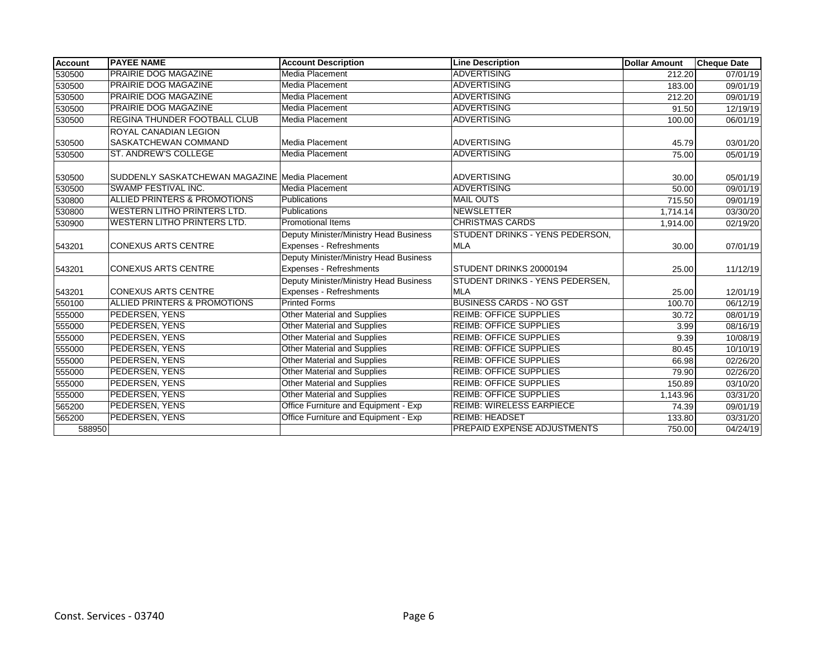| <b>Account</b> | <b>PAYEE NAME</b>                              | <b>Account Description</b>             | <b>Line Description</b>         | <b>Dollar Amount</b> | <b>Cheque Date</b> |
|----------------|------------------------------------------------|----------------------------------------|---------------------------------|----------------------|--------------------|
| 530500         | <b>PRAIRIE DOG MAGAZINE</b>                    | <b>Media Placement</b>                 | <b>ADVERTISING</b>              | 212.20               | 07/01/19           |
| 530500         | <b>PRAIRIE DOG MAGAZINE</b>                    | Media Placement                        | <b>ADVERTISING</b>              | 183.00               | 09/01/19           |
| 530500         | <b>PRAIRIE DOG MAGAZINE</b>                    | <b>Media Placement</b>                 | <b>ADVERTISING</b>              | 212.20               | 09/01/19           |
| 530500         | <b>PRAIRIE DOG MAGAZINE</b>                    | Media Placement                        | <b>ADVERTISING</b>              | 91.50                | 12/19/19           |
| 530500         | <b>REGINA THUNDER FOOTBALL CLUB</b>            | Media Placement                        | <b>ADVERTISING</b>              | 100.00               | 06/01/19           |
|                | <b>ROYAL CANADIAN LEGION</b>                   |                                        |                                 |                      |                    |
| 530500         | SASKATCHEWAN COMMAND                           | Media Placement                        | <b>ADVERTISING</b>              | 45.79                | 03/01/20           |
| 530500         | ST. ANDREW'S COLLEGE                           | Media Placement                        | <b>ADVERTISING</b>              | 75.00                | 05/01/19           |
| 530500         | SUDDENLY SASKATCHEWAN MAGAZINE Media Placement |                                        | <b>ADVERTISING</b>              | 30.00                | 05/01/19           |
| 530500         | <b>SWAMP FESTIVAL INC.</b>                     | Media Placement                        | <b>ADVERTISING</b>              | 50.00                | 09/01/19           |
| 530800         | <b>ALLIED PRINTERS &amp; PROMOTIONS</b>        | Publications                           | <b>MAIL OUTS</b>                | 715.50               | 09/01/19           |
| 530800         | <b>WESTERN LITHO PRINTERS LTD.</b>             | Publications                           | <b>NEWSLETTER</b>               | 1,714.14             | 03/30/20           |
| 530900         | <b>WESTERN LITHO PRINTERS LTD.</b>             | <b>Promotional Items</b>               | <b>CHRISTMAS CARDS</b>          | 1,914.00             | 02/19/20           |
|                |                                                | Deputy Minister/Ministry Head Business | STUDENT DRINKS - YENS PEDERSON, |                      |                    |
| 543201         | <b>CONEXUS ARTS CENTRE</b>                     | Expenses - Refreshments                | <b>MLA</b>                      | 30.00                | 07/01/19           |
|                |                                                | Deputy Minister/Ministry Head Business |                                 |                      |                    |
| 543201         | <b>CONEXUS ARTS CENTRE</b>                     | Expenses - Refreshments                | STUDENT DRINKS 20000194         | 25.00                | 11/12/19           |
|                |                                                | Deputy Minister/Ministry Head Business | STUDENT DRINKS - YENS PEDERSEN, |                      |                    |
| 543201         | <b>CONEXUS ARTS CENTRE</b>                     | Expenses - Refreshments                | <b>MLA</b>                      | 25.00                | 12/01/19           |
| 550100         | <b>ALLIED PRINTERS &amp; PROMOTIONS</b>        | <b>Printed Forms</b>                   | <b>BUSINESS CARDS - NO GST</b>  | 100.70               | 06/12/19           |
| 555000         | PEDERSEN, YENS                                 | Other Material and Supplies            | <b>REIMB: OFFICE SUPPLIES</b>   | 30.72                | 08/01/19           |
| 555000         | PEDERSEN, YENS                                 | Other Material and Supplies            | <b>REIMB: OFFICE SUPPLIES</b>   | 3.99                 | 08/16/19           |
| 555000         | PEDERSEN, YENS                                 | Other Material and Supplies            | <b>REIMB: OFFICE SUPPLIES</b>   | 9.39                 | 10/08/19           |
| 555000         | PEDERSEN, YENS                                 | Other Material and Supplies            | <b>REIMB: OFFICE SUPPLIES</b>   | 80.45                | 10/10/19           |
| 555000         | <b>PEDERSEN, YENS</b>                          | <b>Other Material and Supplies</b>     | <b>REIMB: OFFICE SUPPLIES</b>   | 66.98                | 02/26/20           |
| 555000         | PEDERSEN, YENS                                 | Other Material and Supplies            | <b>REIMB: OFFICE SUPPLIES</b>   | 79.90                | 02/26/20           |
| 555000         | PEDERSEN, YENS                                 | Other Material and Supplies            | <b>REIMB: OFFICE SUPPLIES</b>   | 150.89               | 03/10/20           |
| 555000         | PEDERSEN, YENS                                 | Other Material and Supplies            | <b>REIMB: OFFICE SUPPLIES</b>   | 1,143.96             | 03/31/20           |
| 565200         | PEDERSEN, YENS                                 | Office Furniture and Equipment - Exp   | <b>REIMB: WIRELESS EARPIECE</b> | 74.39                | 09/01/19           |
| 565200         | <b>PEDERSEN, YENS</b>                          | Office Furniture and Equipment - Exp   | <b>REIMB: HEADSET</b>           | 133.80               | 03/31/20           |
| 588950         |                                                |                                        | PREPAID EXPENSE ADJUSTMENTS     | 750.00               | 04/24/19           |